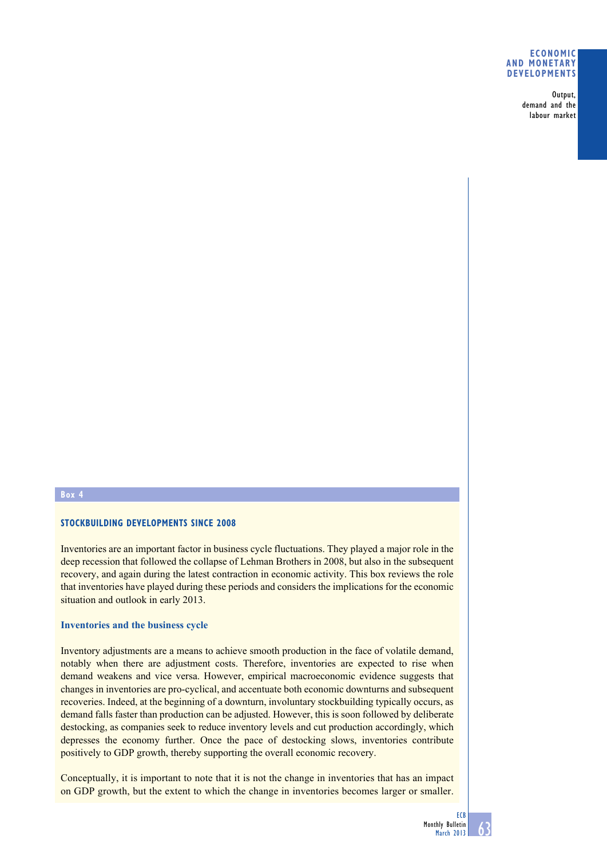# **Economic and monetary developments**

Output, demand and the labour market

# **Box 4**

# **Stockbuilding developments since 2008**

Inventories are an important factor in business cycle fluctuations. They played a major role in the deep recession that followed the collapse of Lehman Brothers in 2008, but also in the subsequent recovery, and again during the latest contraction in economic activity. This box reviews the role that inventories have played during these periods and considers the implications for the economic situation and outlook in early 2013.

# **Inventories and the business cycle**

Inventory adjustments are a means to achieve smooth production in the face of volatile demand, notably when there are adjustment costs. Therefore, inventories are expected to rise when demand weakens and vice versa. However, empirical macroeconomic evidence suggests that changes in inventories are pro-cyclical, and accentuate both economic downturns and subsequent recoveries. Indeed, at the beginning of a downturn, involuntary stockbuilding typically occurs, as demand falls faster than production can be adjusted. However, this is soon followed by deliberate destocking, as companies seek to reduce inventory levels and cut production accordingly, which depresses the economy further. Once the pace of destocking slows, inventories contribute positively to GDP growth, thereby supporting the overall economic recovery.

Conceptually, it is important to note that it is not the change in inventories that has an impact on GDP growth, but the extent to which the change in inventories becomes larger or smaller.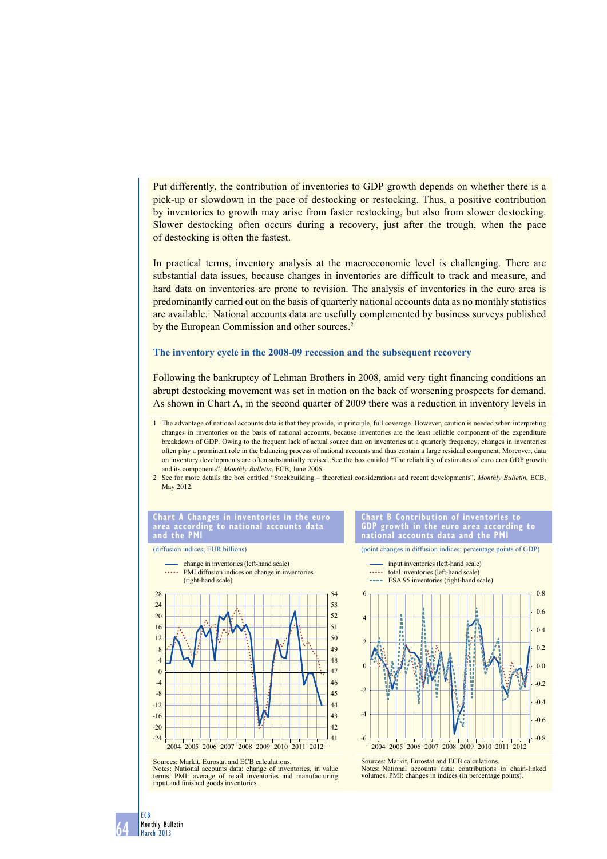Put differently, the contribution of inventories to GDP growth depends on whether there is a pick-up or slowdown in the pace of destocking or restocking. Thus, a positive contribution by inventories to growth may arise from faster restocking, but also from slower destocking. Slower destocking often occurs during a recovery, just after the trough, when the pace of destocking is often the fastest.

In practical terms, inventory analysis at the macroeconomic level is challenging. There are substantial data issues, because changes in inventories are difficult to track and measure, and hard data on inventories are prone to revision. The analysis of inventories in the euro area is predominantly carried out on the basis of quarterly national accounts data as no monthly statistics are available.<sup>1</sup> National accounts data are usefully complemented by business surveys published by the European Commission and other sources.<sup>2</sup>

# **The inventory cycle in the 2008-09 recession and the subsequent recovery**

Following the bankruptcy of Lehman Brothers in 2008, amid very tight financing conditions an abrupt destocking movement was set in motion on the back of worsening prospects for demand. As shown in Chart A, in the second quarter of 2009 there was a reduction in inventory levels in

- 1 The advantage of national accounts data is that they provide, in principle, full coverage. However, caution is needed when interpreting changes in inventories on the basis of national accounts, because inventories are the least reliable component of the expenditure breakdown of GDP. Owing to the frequent lack of actual source data on inventories at a quarterly frequency, changes in inventories often play a prominent role in the balancing process of national accounts and thus contain a large residual component. Moreover, data on inventory developments are often substantially revised. See the box entitled "The reliability of estimates of euro area GDP growth and its components", *Monthly Bulletin*, ECB, June 2006.
- 2 See for more details the box entitled "Stockbuilding theoretical considerations and recent developments", *Monthly Bulletin*, ECB, May 2012.



(diffusion indices; EUR billions)

**national accounts data and the Pmi**

(point changes in diffusion indices; percentage points of GDP)



**chart b contribution of inventories to GdP growth in the euro area according to** 

-0.8 -0.6 -0.4  $-0.2$  $0.0$ 0.2 0.4 0.6 0.8 -6  $\overline{A}$ -2  $\Omega$  $\overline{2}$ 4 6 2004 2005 2006 2007 2008 2009 2010 2011 2012 input inventories (left-hand scale) ..... total inventories (left-hand scale) **ESA 95** inventories (right-hand scale) Sources: Markit, Eurostat and ECB calculations. Notes: National accounts data: contributions in chain-linked volumes. PMI: changes in indices (in percentage points).

Sources: Markit, Eurostat and ECB calculations. Notes: National accounts data: change of inventories, in value terms. PMI: average of retail inventories and manufacturing

input and finished goods inventories.

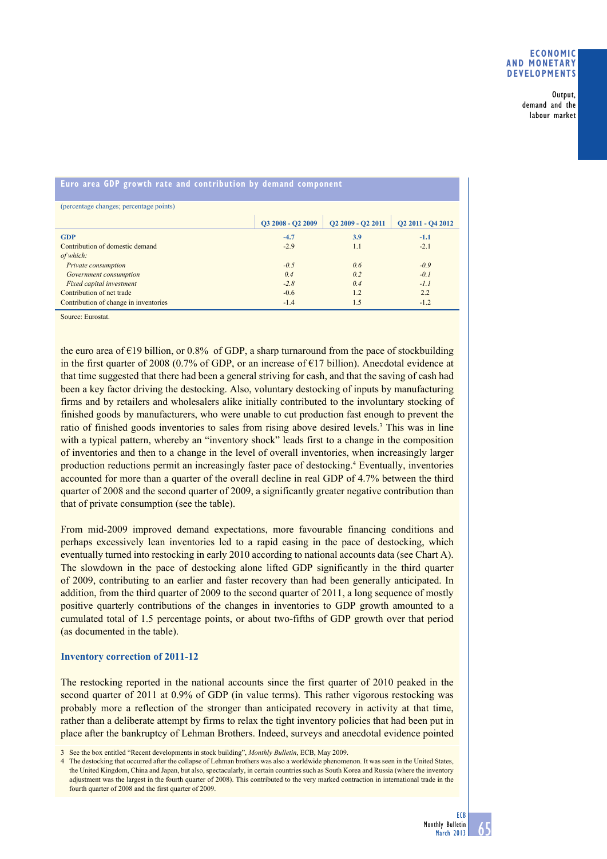Output, demand and the labour market

| (percentage changes; percentage points) |                   |                                           |                   |
|-----------------------------------------|-------------------|-------------------------------------------|-------------------|
|                                         | O3 2008 - O2 2009 | O <sub>2</sub> 2009 - O <sub>2</sub> 2011 | Q2 2011 - Q4 2012 |
| <b>GDP</b>                              | $-4.7$            | 3.9                                       | $-1.1$            |
| Contribution of domestic demand         | $-2.9$            | 1.1                                       | $-2.1$            |
| of which:                               |                   |                                           |                   |
| Private consumption                     | $-0.5$            | 0.6                                       | $-0.9$            |
| Government consumption                  | 0.4               | 0.2                                       | $-0.1$            |
| Fixed capital investment                | $-2.8$            | 0.4                                       | $-1.1$            |
| Contribution of net trade               | $-0.6$            | 1.2                                       | 22                |
| Contribution of change in inventories   | $-1.4$            | 1.5                                       | $-1.2$            |

**euro area GdP growth rate and contribution by demand component**

Source: Eurostat.

the euro area of €19 billion, or 0.8% of GDP, a sharp turnaround from the pace of stockbuilding in the first quarter of 2008 (0.7% of GDP, or an increase of €17 billion). Anecdotal evidence at that time suggested that there had been a general striving for cash, and that the saving of cash had been a key factor driving the destocking. Also, voluntary destocking of inputs by manufacturing firms and by retailers and wholesalers alike initially contributed to the involuntary stocking of finished goods by manufacturers, who were unable to cut production fast enough to prevent the ratio of finished goods inventories to sales from rising above desired levels.<sup>3</sup> This was in line with a typical pattern, whereby an "inventory shock" leads first to a change in the composition of inventories and then to a change in the level of overall inventories, when increasingly larger production reductions permit an increasingly faster pace of destocking.<sup>4</sup> Eventually, inventories accounted for more than a quarter of the overall decline in real GDP of 4.7% between the third quarter of 2008 and the second quarter of 2009, a significantly greater negative contribution than that of private consumption (see the table).

From mid-2009 improved demand expectations, more favourable financing conditions and perhaps excessively lean inventories led to a rapid easing in the pace of destocking, which eventually turned into restocking in early 2010 according to national accounts data (see Chart A). The slowdown in the pace of destocking alone lifted GDP significantly in the third quarter of 2009, contributing to an earlier and faster recovery than had been generally anticipated. In addition, from the third quarter of 2009 to the second quarter of 2011, a long sequence of mostly positive quarterly contributions of the changes in inventories to GDP growth amounted to a cumulated total of 1.5 percentage points, or about two-fifths of GDP growth over that period (as documented in the table).

# **Inventory correction of 2011-12**

The restocking reported in the national accounts since the first quarter of 2010 peaked in the second quarter of 2011 at 0.9% of GDP (in value terms). This rather vigorous restocking was probably more a reflection of the stronger than anticipated recovery in activity at that time, rather than a deliberate attempt by firms to relax the tight inventory policies that had been put in place after the bankruptcy of Lehman Brothers. Indeed, surveys and anecdotal evidence pointed

4 The destocking that occurred after the collapse of Lehman brothers was also a worldwide phenomenon. It was seen in the United States, the United Kingdom, China and Japan, but also, spectacularly, in certain countries such as South Korea and Russia (where the inventory adjustment was the largest in the fourth quarter of 2008). This contributed to the very marked contraction in international trade in the fourth quarter of 2008 and the first quarter of 2009.



<sup>3</sup> See the box entitled "Recent developments in stock building", *Monthly Bulletin*, ECB, May 2009.